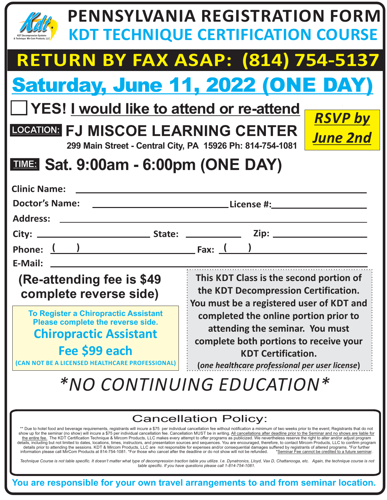|                                                                                                                                                                                                                                                                                                                                                                                                                                                                                                                                                                                                                                                                                                                                                                                                                                                                                                                                                                                                                                                                                                                                                                                                                                                             | <b>PENNSYLVANIA REGISTRATION FORM</b><br><b>KDT TECHNIQUE CERTIFICATION COURSE</b> |  |  |
|-------------------------------------------------------------------------------------------------------------------------------------------------------------------------------------------------------------------------------------------------------------------------------------------------------------------------------------------------------------------------------------------------------------------------------------------------------------------------------------------------------------------------------------------------------------------------------------------------------------------------------------------------------------------------------------------------------------------------------------------------------------------------------------------------------------------------------------------------------------------------------------------------------------------------------------------------------------------------------------------------------------------------------------------------------------------------------------------------------------------------------------------------------------------------------------------------------------------------------------------------------------|------------------------------------------------------------------------------------|--|--|
|                                                                                                                                                                                                                                                                                                                                                                                                                                                                                                                                                                                                                                                                                                                                                                                                                                                                                                                                                                                                                                                                                                                                                                                                                                                             | <b>RETURN BY FAX ASAP: (814) 754-5137</b>                                          |  |  |
|                                                                                                                                                                                                                                                                                                                                                                                                                                                                                                                                                                                                                                                                                                                                                                                                                                                                                                                                                                                                                                                                                                                                                                                                                                                             | <b>Saturday, June 11, 2022 (ONE DAY)</b>                                           |  |  |
| □ YES! I would like to attend or re-attend                                                                                                                                                                                                                                                                                                                                                                                                                                                                                                                                                                                                                                                                                                                                                                                                                                                                                                                                                                                                                                                                                                                                                                                                                  | <b>RSVP by</b>                                                                     |  |  |
| <b>LOCATION: FJ MISCOE LEARNING CENTER</b><br>299 Main Street - Central City, PA 15926 Ph: 814-754-1081                                                                                                                                                                                                                                                                                                                                                                                                                                                                                                                                                                                                                                                                                                                                                                                                                                                                                                                                                                                                                                                                                                                                                     | <b>June 2nd</b>                                                                    |  |  |
| <b>TIME: Sat. 9:00am - 6:00pm (ONE DAY)</b>                                                                                                                                                                                                                                                                                                                                                                                                                                                                                                                                                                                                                                                                                                                                                                                                                                                                                                                                                                                                                                                                                                                                                                                                                 |                                                                                    |  |  |
| <b>Clinic Name:</b><br><b>Doctor's Name:</b><br>Address: ___                                                                                                                                                                                                                                                                                                                                                                                                                                                                                                                                                                                                                                                                                                                                                                                                                                                                                                                                                                                                                                                                                                                                                                                                |                                                                                    |  |  |
|                                                                                                                                                                                                                                                                                                                                                                                                                                                                                                                                                                                                                                                                                                                                                                                                                                                                                                                                                                                                                                                                                                                                                                                                                                                             |                                                                                    |  |  |
| E-Mail:                                                                                                                                                                                                                                                                                                                                                                                                                                                                                                                                                                                                                                                                                                                                                                                                                                                                                                                                                                                                                                                                                                                                                                                                                                                     |                                                                                    |  |  |
| This KDT Class is the second portion of<br>(Re-attending fee is \$49)<br>the KDT Decompression Certification.<br>complete reverse side)<br>You must be a registered user of KDT and                                                                                                                                                                                                                                                                                                                                                                                                                                                                                                                                                                                                                                                                                                                                                                                                                                                                                                                                                                                                                                                                         |                                                                                    |  |  |
| <b>To Register a Chiropractic Assistant</b><br>Please complete the reverse side.                                                                                                                                                                                                                                                                                                                                                                                                                                                                                                                                                                                                                                                                                                                                                                                                                                                                                                                                                                                                                                                                                                                                                                            | completed the online portion prior to                                              |  |  |
| <b>Chiropractic Assistant</b>                                                                                                                                                                                                                                                                                                                                                                                                                                                                                                                                                                                                                                                                                                                                                                                                                                                                                                                                                                                                                                                                                                                                                                                                                               | attending the seminar. You must<br>complete both portions to receive your          |  |  |
| Fee \$99 each<br>(CAN NOT BE A LICENSED HEALTHCARE PROFESSIONAL)                                                                                                                                                                                                                                                                                                                                                                                                                                                                                                                                                                                                                                                                                                                                                                                                                                                                                                                                                                                                                                                                                                                                                                                            | <b>KDT Certification.</b><br>(one healthcare professional per user license)        |  |  |
| *NO CONTINUING EDUCATION*                                                                                                                                                                                                                                                                                                                                                                                                                                                                                                                                                                                                                                                                                                                                                                                                                                                                                                                                                                                                                                                                                                                                                                                                                                   |                                                                                    |  |  |
| <b>Cancellation Policy:</b><br>** Due to hotel food and beverage requirements, registrants will incure a \$75 per individual cancellation fee without notification a minimum of two weeks prior to the event; Registrants that do not<br>show up for the seminar (no show) will incure a \$75 per individual cancellation fee. Cancellation MUST be in writing. All cancellations after deadline prior to the Seminar and no shows are liable for<br>the entire fee. The KDT Certification Technique & Mircom Products, LLC makes every attempt to offer programs as publicized. We nevertheless reserve the right to alter and/or adjust program<br>details, including but not limited to dates, locations, times, instructors, and presentation sources and sequences. You are encouraged, therefore, to contact Mircom Products, LLC to confirm program<br>details prior to attending the sessions. KDT & Mircom Products, LLC are not responsible for expenses and/or consequential damages suffered by registrants of altered programs. *For further<br>information please call MirCom Products at 814-754-1081. *For those who cancel after the deadline or do not show will not be refunded.<br>*Seminar Fee cannot be credited to a future seminar. |                                                                                    |  |  |
| Technique Course is not table specific. It doesn't matter what type of decompression traction table you utilize. I.e. Dynatronics, Lloyd, Vax D, Chattanooga, etc. Again, the technique course is not<br>table specific. If you have questions please call 1-814-754-1081.<br>You are responsible for your own travel arrangements to and from seminar location.                                                                                                                                                                                                                                                                                                                                                                                                                                                                                                                                                                                                                                                                                                                                                                                                                                                                                            |                                                                                    |  |  |